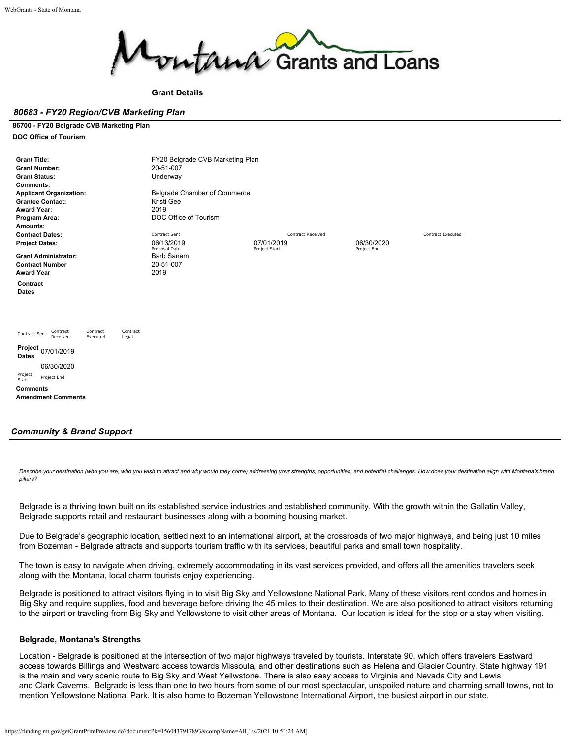

**Grant Details**

### *80683 - FY20 Region/CVB Marketing Plan*

#### **86700 - FY20 Belgrade CVB Marketing Plan**

**DOC Office of Tourism**

| <b>Grant Title:</b>                                                                | FY20 Belgrade CVB Marketing Plan |                          |             |                          |
|------------------------------------------------------------------------------------|----------------------------------|--------------------------|-------------|--------------------------|
| <b>Grant Number:</b>                                                               | 20-51-007                        |                          |             |                          |
| <b>Grant Status:</b>                                                               | Underway                         |                          |             |                          |
| <b>Comments:</b>                                                                   |                                  |                          |             |                          |
| <b>Applicant Organization:</b>                                                     | Belgrade Chamber of Commerce     |                          |             |                          |
| <b>Grantee Contact:</b>                                                            | Kristi Gee                       |                          |             |                          |
| <b>Award Year:</b>                                                                 | 2019                             |                          |             |                          |
| Program Area:                                                                      | DOC Office of Tourism            |                          |             |                          |
| Amounts:                                                                           |                                  |                          |             |                          |
| <b>Contract Dates:</b>                                                             | Contract Sent                    | <b>Contract Received</b> |             | <b>Contract Executed</b> |
| <b>Project Dates:</b>                                                              | 06/13/2019                       | 07/01/2019               | 06/30/2020  |                          |
|                                                                                    | Proposal Date                    | Project Start            | Project End |                          |
| <b>Grant Administrator:</b>                                                        | <b>Barb Sanem</b>                |                          |             |                          |
| <b>Contract Number</b>                                                             | 20-51-007                        |                          |             |                          |
| <b>Award Year</b>                                                                  | 2019                             |                          |             |                          |
| Contract                                                                           |                                  |                          |             |                          |
| <b>Dates</b>                                                                       |                                  |                          |             |                          |
|                                                                                    |                                  |                          |             |                          |
|                                                                                    |                                  |                          |             |                          |
|                                                                                    |                                  |                          |             |                          |
|                                                                                    |                                  |                          |             |                          |
| Contract<br>Contract<br>Contract<br>Contract Sent<br>Received<br>Executed<br>Legal |                                  |                          |             |                          |
|                                                                                    |                                  |                          |             |                          |
| Project 07/01/2019                                                                 |                                  |                          |             |                          |
| <b>Dates</b>                                                                       |                                  |                          |             |                          |
| 06/30/2020                                                                         |                                  |                          |             |                          |
| Project<br>Project End                                                             |                                  |                          |             |                          |
| Start                                                                              |                                  |                          |             |                          |
| <b>Comments</b>                                                                    |                                  |                          |             |                          |
| <b>Amendment Comments</b>                                                          |                                  |                          |             |                          |

## *Community & Brand Support*

*Describe your destination (who you are, who you wish to attract and why would they come) addressing your strengths, opportunities, and potential challenges. How does your destination align with Montana's brand pillars?*

Belgrade is a thriving town built on its established service industries and established community. With the growth within the Gallatin Valley, Belgrade supports retail and restaurant businesses along with a booming housing market.

Due to Belgrade's geographic location, settled next to an international airport, at the crossroads of two major highways, and being just 10 miles from Bozeman - Belgrade attracts and supports tourism traffic with its services, beautiful parks and small town hospitality.

The town is easy to navigate when driving, extremely accommodating in its vast services provided, and offers all the amenities travelers seek along with the Montana, local charm tourists enjoy experiencing.

Belgrade is positioned to attract visitors flying in to visit Big Sky and Yellowstone National Park. Many of these visitors rent condos and homes in Big Sky and require supplies, food and beverage before driving the 45 miles to their destination. We are also positioned to attract visitors returning to the airport or traveling from Big Sky and Yellowstone to visit other areas of Montana. Our location is ideal for the stop or a stay when visiting.

## **Belgrade, Montana's Strengths**

Location - Belgrade is positioned at the intersection of two major highways traveled by tourists. Interstate 90, which offers travelers Eastward access towards Billings and Westward access towards Missoula, and other destinations such as Helena and Glacier Country. State highway 191 is the main and very scenic route to Big Sky and West Yellwstone. There is also easy access to Virginia and Nevada City and Lewis and Clark Caverns. Belgrade is less than one to two hours from some of our most spectacular, unspoiled nature and charming small towns, not to mention Yellowstone National Park. It is also home to Bozeman Yellowstone International Airport, the busiest airport in our state.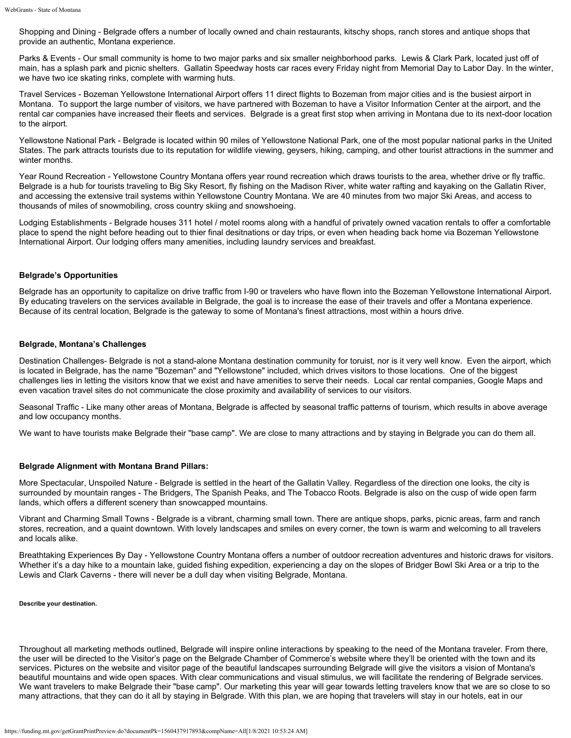Shopping and Dining - Belgrade offers a number of locally owned and chain restaurants, kitschy shops, ranch stores and antique shops that provide an authentic, Montana experience.

Parks & Events - Our small community is home to two major parks and six smaller neighborhood parks. Lewis & Clark Park, located just off of main, has a splash park and picnic shelters. Gallatin Speedway hosts car races every Friday night from Memorial Day to Labor Day. In the winter, we have two ice skating rinks, complete with warming huts.

Travel Services - Bozeman Yellowstone International Airport offers 11 direct flights to Bozeman from major cities and is the busiest airport in Montana. To support the large number of visitors, we have partnered with Bozeman to have a Visitor Information Center at the airport, and the rental car companies have increased their fleets and services. Belgrade is a great first stop when arriving in Montana due to its next-door location to the airport.

Yellowstone National Park - Belgrade is located within 90 miles of Yellowstone National Park, one of the most popular national parks in the United States. The park attracts tourists due to its reputation for wildlife viewing, geysers, hiking, camping, and other tourist attractions in the summer and winter months.

Year Round Recreation - Yellowstone Country Montana offers year round recreation which draws tourists to the area, whether drive or fly traffic. Belgrade is a hub for tourists traveling to Big Sky Resort, fly fishing on the Madison River, white water rafting and kayaking on the Gallatin River, and accessing the extensive trail systems within Yellowstone Country Montana. We are 40 minutes from two major Ski Areas, and access to thousands of miles of snowmobiling, cross country skiing and snowshoeing.

Lodging Establishments - Belgrade houses 311 hotel / motel rooms along with a handful of privately owned vacation rentals to offer a comfortable place to spend the night before heading out to thier final desitnations or day trips, or even when heading back home via Bozeman Yellowstone International Airport. Our lodging offers many amenities, including laundry services and breakfast.

## **Belgrade's Opportunities**

Belgrade has an opportunity to capitalize on drive traffic from I-90 or travelers who have flown into the Bozeman Yellowstone International Airport. By educating travelers on the services available in Belgrade, the goal is to increase the ease of their travels and offer a Montana experience. Because of its central location, Belgrade is the gateway to some of Montana's finest attractions, most within a hours drive.

## **Belgrade, Montana's Challenges**

Destination Challenges- Belgrade is not a stand-alone Montana destination community for toruist, nor is it very well know. Even the airport, which is located in Belgrade, has the name "Bozeman" and "Yellowstone" included, which drives visitors to those locations. One of the biggest challenges lies in letting the visitors know that we exist and have amenities to serve their needs. Local car rental companies, Google Maps and even vacation travel sites do not communicate the close proximity and availability of services to our visitors.

Seasonal Traffic - Like many other areas of Montana, Belgrade is affected by seasonal traffic patterns of tourism, which results in above average and low occupancy months.

We want to have tourists make Belgrade their "base camp". We are close to many attractions and by staying in Belgrade you can do them all.

## **Belgrade Alignment with Montana Brand Pillars:**

More Spectacular, Unspoiled Nature - Belgrade is settled in the heart of the Gallatin Valley. Regardless of the direction one looks, the city is surrounded by mountain ranges - The Bridgers, The Spanish Peaks, and The Tobacco Roots. Belgrade is also on the cusp of wide open farm lands, which offers a different scenery than snowcapped mountains.

Vibrant and Charming Small Towns - Belgrade is a vibrant, charming small town. There are antique shops, parks, picnic areas, farm and ranch stores, recreation, and a quaint downtown. With lovely landscapes and smiles on every corner, the town is warm and welcoming to all travelers and locals alike.

Breathtaking Experiences By Day - Yellowstone Country Montana offers a number of outdoor recreation adventures and historic draws for visitors. Whether it's a day hike to a mountain lake, guided fishing expedition, experiencing a day on the slopes of Bridger Bowl Ski Area or a trip to the Lewis and Clark Caverns - there will never be a dull day when visiting Belgrade, Montana.

**Describe your destination.**

Throughout all marketing methods outlined, Belgrade will inspire online interactions by speaking to the need of the Montana traveler. From there, the user will be directed to the Visitor's page on the Belgrade Chamber of Commerce's website where they'll be oriented with the town and its services. Pictures on the website and visitor page of the beautiful landscapes surrounding Belgrade will give the visitors a vision of Montana's beautiful mountains and wide open spaces. With clear communications and visual stimulus, we will facilitate the rendering of Belgrade services. We want travelers to make Belgrade their "base camp". Our marketing this year will gear towards letting travelers know that we are so close to so many attractions, that they can do it all by staying in Belgrade. With this plan, we are hoping that travelers will stay in our hotels, eat in our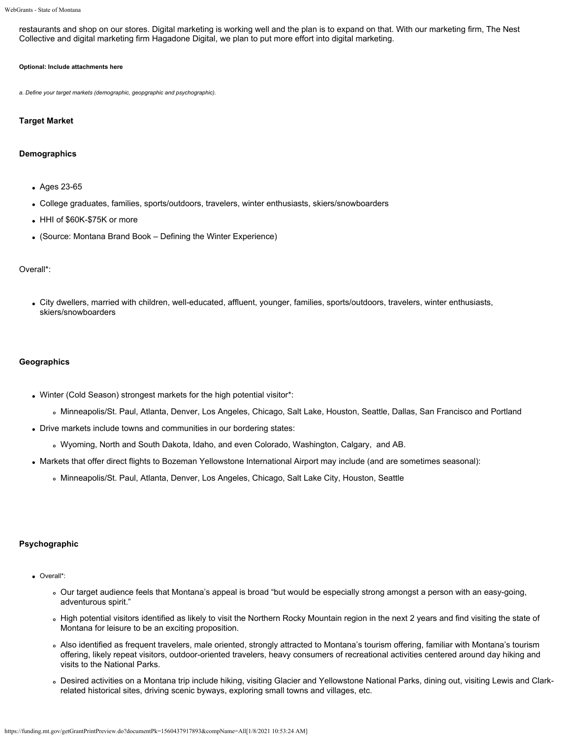restaurants and shop on our stores. Digital marketing is working well and the plan is to expand on that. With our marketing firm, The Nest Collective and digital marketing firm Hagadone Digital, we plan to put more effort into digital marketing.

### **Optional: Include attachments here**

*a. Define your target markets (demographic, geopgraphic and psychographic).*

#### **Target Market**

#### **Demographics**

- Ages 23-65
- College graduates, families, sports/outdoors, travelers, winter enthusiasts, skiers/snowboarders
- HHI of \$60K-\$75K or more
- (Source: Montana Brand Book Defining the Winter Experience)

### Overall\*:

City dwellers, married with children, well-educated, affluent, younger, families, sports/outdoors, travelers, winter enthusiasts, skiers/snowboarders

#### **Geographics**

- Winter (Cold Season) strongest markets for the high potential visitor\*:
	- Minneapolis/St. Paul, Atlanta, Denver, Los Angeles, Chicago, Salt Lake, Houston, Seattle, Dallas, San Francisco and Portland
- Drive markets include towns and communities in our bordering states:
	- Wyoming, North and South Dakota, Idaho, and even Colorado, Washington, Calgary, and AB.
- Markets that offer direct flights to Bozeman Yellowstone International Airport may include (and are sometimes seasonal):
	- Minneapolis/St. Paul, Atlanta, Denver, Los Angeles, Chicago, Salt Lake City, Houston, Seattle

## **Psychographic**

- Overall\*:
	- Our target audience feels that Montana's appeal is broad "but would be especially strong amongst a person with an easy-going, adventurous spirit."
	- High potential visitors identified as likely to visit the Northern Rocky Mountain region in the next 2 years and find visiting the state of Montana for leisure to be an exciting proposition.
	- Also identified as frequent travelers, male oriented, strongly attracted to Montana's tourism offering, familiar with Montana's tourism offering, likely repeat visitors, outdoor-oriented travelers, heavy consumers of recreational activities centered around day hiking and visits to the National Parks.
	- Desired activities on a Montana trip include hiking, visiting Glacier and Yellowstone National Parks, dining out, visiting Lewis and Clarkrelated historical sites, driving scenic byways, exploring small towns and villages, etc.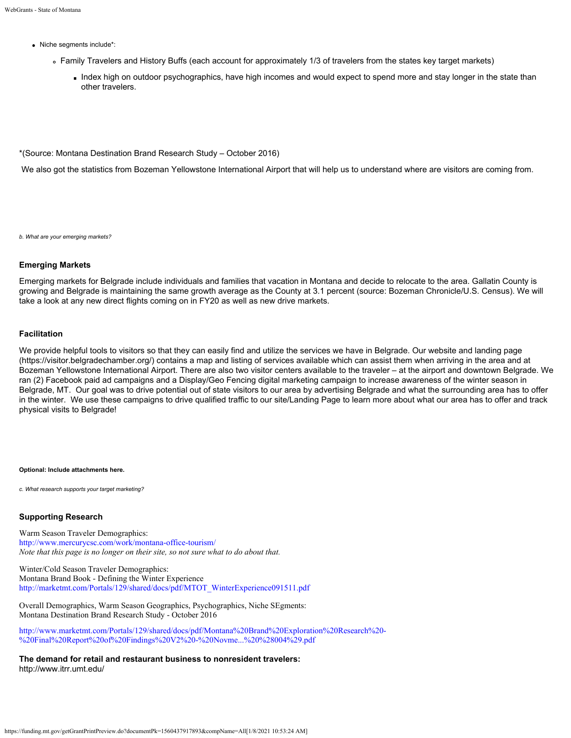- Niche segments include\*:
	- Family Travelers and History Buffs (each account for approximately 1/3 of travelers from the states key target markets)
		- Index high on outdoor psychographics, have high incomes and would expect to spend more and stay longer in the state than other travelers.

\*(Source: Montana Destination Brand Research Study – October 2016)

We also got the statistics from Bozeman Yellowstone International Airport that will help us to understand where are visitors are coming from.

*b. What are your emerging markets?*

#### **Emerging Markets**

Emerging markets for Belgrade include individuals and families that vacation in Montana and decide to relocate to the area. Gallatin County is growing and Belgrade is maintaining the same growth average as the County at 3.1 percent (source: Bozeman Chronicle/U.S. Census). We will take a look at any new direct flights coming on in FY20 as well as new drive markets.

## **Facilitation**

We provide helpful tools to visitors so that they can easily find and utilize the services we have in Belgrade. Our website and landing page [\(https://visitor.belgradechamber.org/](https://visitor.belgradechamber.org/)) contains a map and listing of services available which can assist them when arriving in the area and at Bozeman Yellowstone International Airport. There are also two visitor centers available to the traveler – at the airport and downtown Belgrade. We ran (2) Facebook paid ad campaigns and a Display/Geo Fencing digital marketing campaign to increase awareness of the winter season in Belgrade, MT. Our goal was to drive potential out of state visitors to our area by advertising Belgrade and what the surrounding area has to offer in the winter. We use these campaigns to drive qualified traffic to our site/Landing Page to learn more about what our area has to offer and track physical visits to Belgrade!

#### **Optional: Include attachments here.**

*c. What research supports your target marketing?*

## **Supporting Research**

Warm Season Traveler Demographics: <http://www.mercurycsc.com/work/montana-office-tourism/> *Note that this page is no longer on their site, so not sure what to do about that.*

Winter/Cold Season Traveler Demographics: Montana Brand Book - Defining the Winter Experience [http://marketmt.com/Portals/129/shared/docs/pdf/MTOT\\_WinterExperience091511.pdf](http://marketmt.com/Portals/129/shared/docs/pdf/MTOT_WinterExperience091511.pdf)

Overall Demographics, Warm Season Geographics, Psychographics, Niche SEgments: Montana Destination Brand Research Study - October 2016

[http://www.marketmt.com/Portals/129/shared/docs/pdf/Montana%20Brand%20Exploration%20Research%20-](http://www.marketmt.com/Portals/129/shared/docs/pdf/Montana%20Brand%20Exploration%20Research%20-%20Final%20Report%20of%20Findings%20V2%20-%20Novme...%20%28004%29.pdf) [%20Final%20Report%20of%20Findings%20V2%20-%20Novme...%20%28004%29.pdf](http://www.marketmt.com/Portals/129/shared/docs/pdf/Montana%20Brand%20Exploration%20Research%20-%20Final%20Report%20of%20Findings%20V2%20-%20Novme...%20%28004%29.pdf)

**The demand for retail and restaurant business to nonresident travelers:** <http://www.itrr.umt.edu/>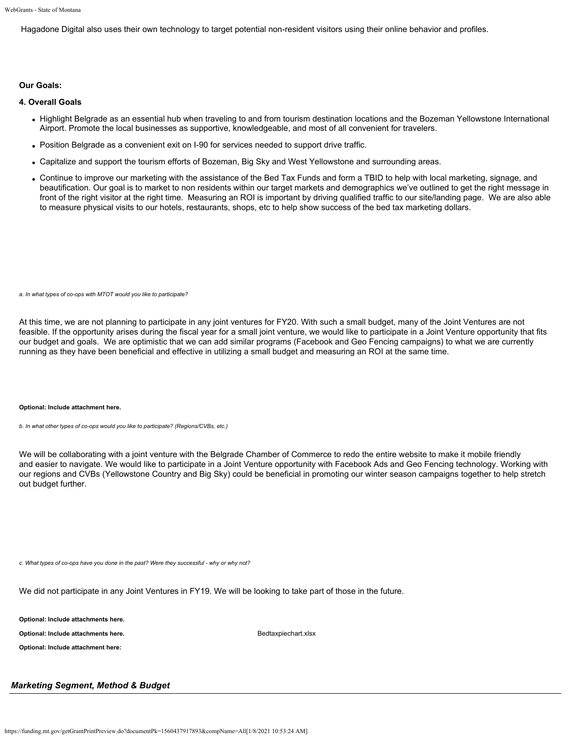Hagadone Digital also uses their own technology to target potential non-resident visitors using their online behavior and profiles.

## **Our Goals:**

## **4. Overall Goals**

- Highlight Belgrade as an essential hub when traveling to and from tourism destination locations and the Bozeman Yellowstone International Airport. Promote the local businesses as supportive, knowledgeable, and most of all convenient for travelers.
- Position Belgrade as a convenient exit on I-90 for services needed to support drive traffic.
- Capitalize and support the tourism efforts of Bozeman, Big Sky and West Yellowstone and surrounding areas.
- Continue to improve our marketing with the assistance of the Bed Tax Funds and form a TBID to help with local marketing, signage, and beautification. Our goal is to market to non residents within our target markets and demographics we've outlined to get the right message in front of the right visitor at the right time. Measuring an ROI is important by driving qualified traffic to our site/landing page. We are also able to measure physical visits to our hotels, restaurants, shops, etc to help show success of the bed tax marketing dollars.

*a. In what types of co-ops with MTOT would you like to participate?*

At this time, we are not planning to participate in any joint ventures for FY20. With such a small budget, many of the Joint Ventures are not feasible. If the opportunity arises during the fiscal year for a small joint venture, we would like to participate in a Joint Venture opportunity that fits our budget and goals. We are optimistic that we can add similar programs (Facebook and Geo Fencing campaigns) to what we are currently running as they have been beneficial and effective in utilizing a small budget and measuring an ROI at the same time.

#### **Optional: Include attachment here.**

*b. In what other types of co-ops would you like to participate? (Regions/CVBs, etc.)*

We will be collaborating with a joint venture with the Belgrade Chamber of Commerce to redo the entire website to make it mobile friendly and easier to navigate. We would like to participate in a Joint Venture opportunity with Facebook Ads and Geo Fencing technology. Working with our regions and CVBs (Yellowstone Country and Big Sky) could be beneficial in promoting our winter season campaigns together to help stretch out budget further.

*c. What types of co-ops have you done in the past? Were they successful - why or why not?*

We did not participate in any Joint Ventures in FY19. We will be looking to take part of those in the future.

**Optional: Include attachments here.**

**Optional: Include attachments here. [Bedtaxpiechart.xlsx](https://funding.mt.gov/fileDownload.jsp?filename=1556053721207_Bedtaxpiechart.xlsx)** Bedtaxpiechart.xlsx

**Optional: Include attachment here:**

## *Marketing Segment, Method & Budget*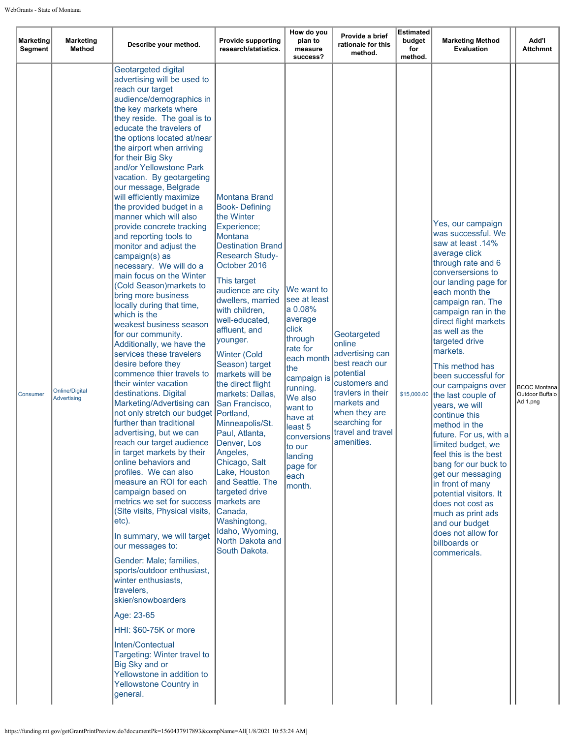| <b>Marketing</b><br>Segment | <b>Marketing</b><br><b>Method</b>           | Describe your method.                                                                                                                                                                                                                                                                                                                                                                                                                                                                                                                                                                                                                                                                                                                                                                                                                                                                                                                                                                                                                                                                                                                                                                                                                                                                                                                                                                                                                                                                                                                                                                                                             | <b>Provide supporting</b><br>research/statistics.                                                                                                                                                                                                                                                                                                                                                                                                                                                                                                                                                                                                                         | How do you<br>plan to<br>measure<br>success?                                                                                                                                                                                                               | Provide a brief<br>rationale for this<br>method.                                                                                                                                                  | Estimated<br>budget<br>for<br>method. | <b>Marketing Method</b><br>Evaluation                                                                                                                                                                                                                                                                                                                                                                                                                                                                                                                                                                                                                                                                                   | Add'l<br><b>Attchmnt</b>                           |
|-----------------------------|---------------------------------------------|-----------------------------------------------------------------------------------------------------------------------------------------------------------------------------------------------------------------------------------------------------------------------------------------------------------------------------------------------------------------------------------------------------------------------------------------------------------------------------------------------------------------------------------------------------------------------------------------------------------------------------------------------------------------------------------------------------------------------------------------------------------------------------------------------------------------------------------------------------------------------------------------------------------------------------------------------------------------------------------------------------------------------------------------------------------------------------------------------------------------------------------------------------------------------------------------------------------------------------------------------------------------------------------------------------------------------------------------------------------------------------------------------------------------------------------------------------------------------------------------------------------------------------------------------------------------------------------------------------------------------------------|---------------------------------------------------------------------------------------------------------------------------------------------------------------------------------------------------------------------------------------------------------------------------------------------------------------------------------------------------------------------------------------------------------------------------------------------------------------------------------------------------------------------------------------------------------------------------------------------------------------------------------------------------------------------------|------------------------------------------------------------------------------------------------------------------------------------------------------------------------------------------------------------------------------------------------------------|---------------------------------------------------------------------------------------------------------------------------------------------------------------------------------------------------|---------------------------------------|-------------------------------------------------------------------------------------------------------------------------------------------------------------------------------------------------------------------------------------------------------------------------------------------------------------------------------------------------------------------------------------------------------------------------------------------------------------------------------------------------------------------------------------------------------------------------------------------------------------------------------------------------------------------------------------------------------------------------|----------------------------------------------------|
| Consumer                    | <b>Online/Digital</b><br><b>Advertising</b> | Geotargeted digital<br>advertising will be used to<br>reach our target<br>audience/demographics in<br>the key markets where<br>they reside. The goal is to<br>educate the travelers of<br>the options located at/near<br>the airport when arriving<br>for their Big Sky<br>and/or Yellowstone Park<br>vacation. By geotargeting<br>our message, Belgrade<br>will efficiently maximize<br>the provided budget in a<br>manner which will also<br>provide concrete tracking<br>and reporting tools to<br>monitor and adjust the<br>campaign(s) as<br>necessary. We will do a<br>main focus on the Winter<br>(Cold Season)markets to<br>bring more business<br>locally during that time,<br>which is the<br>weakest business season<br>for our community.<br>Additionally, we have the<br>services these travelers<br>desire before they<br>commence thier travels to<br>their winter vacation<br>destinations. Digital<br>Marketing/Advertising can<br>not only stretch our budget<br>further than traditional<br>advertising, but we can<br>reach our target audience<br>in target markets by their<br>online behaviors and<br>profiles. We can also<br>measure an ROI for each<br>campaign based on<br>metrics we set for success<br>(Site visits, Physical visits,<br>etc).<br>In summary, we will target<br>our messages to:<br>Gender: Male; families,<br>sports/outdoor enthusiast,<br>winter enthusiasts,<br>travelers,<br>skier/snowboarders<br>Age: 23-65<br>HHI: \$60-75K or more<br>Inten/Contectual<br>Targeting: Winter travel to<br>Big Sky and or<br>Yellowstone in addition to<br>Yellowstone Country in<br>general. | <b>Montana Brand</b><br><b>Book-Defining</b><br>the Winter<br>Experience;<br><b>Montana</b><br><b>Destination Brand</b><br><b>Research Study-</b><br>October 2016<br>This target<br>audience are city<br>dwellers, married<br>with children,<br>well-educated,<br>affluent, and<br>younger.<br><b>Winter (Cold</b><br>Season) target<br>markets will be<br>the direct flight<br>markets: Dallas,<br>San Francisco,<br>Portland,<br>Minneapolis/St.<br>Paul, Atlanta,<br>Denver, Los<br>Angeles,<br>Chicago, Salt<br>Lake, Houston<br>and Seattle. The<br>targeted drive<br>markets are<br>Canada,<br>Washingtong,<br>Idaho, Wyoming,<br>North Dakota and<br>South Dakota. | We want to<br>lsee at least<br>a 0.08%<br>average<br>click<br>through<br>rate for<br>each month<br>the<br>campaign is<br>running.<br>We also<br>want to<br>have at<br>least <sub>5</sub><br>conversions<br>to our<br>landing<br>page for<br>each<br>month. | Geotargeted<br>online<br>advertising can<br>best reach our<br>potential<br>customers and<br>travlers in their<br>markets and<br>when they are<br>searching for<br>travel and travel<br>amenities. | \$15,000.00                           | Yes, our campaign<br>was successful. We<br>saw at least .14%<br>average click<br>through rate and 6<br>conversersions to<br>our landing page for<br>each month the<br>campaign ran. The<br>campaign ran in the<br>direct flight markets<br>as well as the<br>targeted drive<br>markets.<br>This method has<br>been successful for<br>our campaigns over<br>the last couple of<br>years, we will<br>continue this<br>method in the<br>future. For us, with a<br>limited budget, we<br>feel this is the best<br>bang for our buck to<br>get our messaging<br>in front of many<br>potential visitors. It<br>does not cost as<br>much as print ads<br>and our budget<br>does not allow for<br>billboards or<br>commericals. | <b>BCOC Montana</b><br>Outdoor Buffalo<br>Ad 1.png |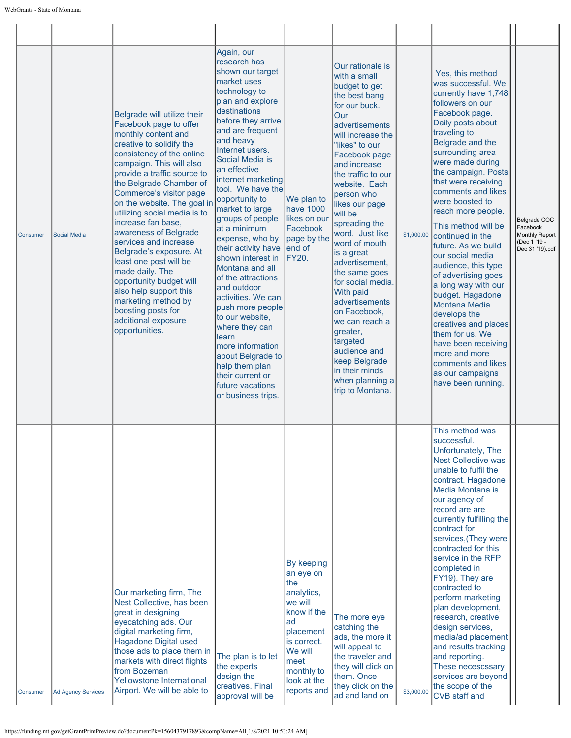| Consumer | <b>Social Media</b>       | Belgrade will utilize their<br>Facebook page to offer<br>monthly content and<br>creative to solidify the<br>consistency of the online<br>campaign. This will also<br>provide a traffic source to<br>the Belgrade Chamber of<br>Commerce's visitor page<br>on the website. The goal in<br>utilizing social media is to<br>increase fan base,<br>awareness of Belgrade<br>services and increase<br>Belgrade's exposure. At<br>least one post will be<br>made daily. The<br>opportunity budget will<br>also help support this<br>marketing method by<br>boosting posts for<br>additional exposure<br>opportunities. | Again, our<br>research has<br>shown our target<br>market uses<br>technology to<br>plan and explore<br>destinations<br>before they arrive<br>and are frequent<br>and heavy<br>Internet users.<br>Social Media is<br>lan effective<br>internet marketing<br>tool. We have the<br>opportunity to<br>market to large<br>groups of people<br>at a minimum<br>expense, who by<br>their activity have<br>shown interest in<br>Montana and all<br>of the attractions<br>and outdoor<br>activities. We can<br>push more people<br>to our website,<br>where they can<br>learn<br>more information<br>about Belgrade to<br>help them plan<br>their current or<br>future vacations<br>or business trips. | We plan to<br>have 1000<br>likes on our<br>Facebook<br>page by the<br>lend of<br><b>FY20.</b>                                                                           | Our rationale is<br>with a small<br>budget to get<br>the best bang<br>for our buck.<br>Our<br>advertisements<br>will increase the<br>"likes" to our<br>Facebook page<br>and increase<br>the traffic to our<br>website. Each<br>person who<br>likes our page<br>will be<br>spreading the<br>word. Just like<br>word of mouth<br>is a great<br>advertisement,<br>the same goes<br>for social media.<br><b>With paid</b><br>advertisements<br>on Facebook,<br>we can reach a<br>greater,<br>targeted<br>audience and<br>keep Belgrade<br>in their minds<br>when planning a<br>trip to Montana. | \$1,000.00 | Yes, this method<br>was successful. We<br>currently have 1,748<br>followers on our<br>Facebook page.<br>Daily posts about<br>traveling to<br>Belgrade and the<br>surrounding area<br>were made during<br>the campaign. Posts<br>that were receiving<br>comments and likes<br>were boosted to<br>reach more people.<br>This method will be<br>continued in the<br>future. As we build<br>our social media<br>audience, this type<br>of advertising goes<br>a long way with our<br>budget. Hagadone<br><b>Montana Media</b><br>develops the<br>creatives and places<br>them for us. We<br>have been receiving<br>more and more<br>comments and likes<br>as our campaigns<br>have been running. | Belgrade COC<br>Facebook<br>Monthly Report<br>(Dec 1 '19 -<br>Dec 31 '19).pdf |
|----------|---------------------------|------------------------------------------------------------------------------------------------------------------------------------------------------------------------------------------------------------------------------------------------------------------------------------------------------------------------------------------------------------------------------------------------------------------------------------------------------------------------------------------------------------------------------------------------------------------------------------------------------------------|----------------------------------------------------------------------------------------------------------------------------------------------------------------------------------------------------------------------------------------------------------------------------------------------------------------------------------------------------------------------------------------------------------------------------------------------------------------------------------------------------------------------------------------------------------------------------------------------------------------------------------------------------------------------------------------------|-------------------------------------------------------------------------------------------------------------------------------------------------------------------------|---------------------------------------------------------------------------------------------------------------------------------------------------------------------------------------------------------------------------------------------------------------------------------------------------------------------------------------------------------------------------------------------------------------------------------------------------------------------------------------------------------------------------------------------------------------------------------------------|------------|----------------------------------------------------------------------------------------------------------------------------------------------------------------------------------------------------------------------------------------------------------------------------------------------------------------------------------------------------------------------------------------------------------------------------------------------------------------------------------------------------------------------------------------------------------------------------------------------------------------------------------------------------------------------------------------------|-------------------------------------------------------------------------------|
| Consumer | <b>Ad Agency Services</b> | Our marketing firm, The<br>Nest Collective, has been<br>great in designing<br>eyecatching ads. Our<br>digital marketing firm,<br>Hagadone Digital used<br>those ads to place them in<br>markets with direct flights<br>from Bozeman<br>Yellowstone International<br>Airport. We will be able to                                                                                                                                                                                                                                                                                                                  | The plan is to let<br>the experts<br>design the<br>creatives. Final<br>approval will be                                                                                                                                                                                                                                                                                                                                                                                                                                                                                                                                                                                                      | By keeping<br>an eye on<br>the<br>analytics,<br>we will<br>know if the<br>ad<br>placement<br>is correct.<br>We will<br>meet<br>monthly to<br>look at the<br>reports and | The more eye<br>catching the<br>ads, the more it<br>will appeal to<br>the traveler and<br>they will click on<br>them. Once<br>they click on the<br>ad and land on                                                                                                                                                                                                                                                                                                                                                                                                                           | \$3,000.00 | This method was<br>successful.<br>Unfortunately, The<br><b>Nest Collective was</b><br>unable to fulfil the<br>contract. Hagadone<br>Media Montana is<br>our agency of<br>record are are<br>currently fulfilling the<br>contract for<br>services, (They were<br>contracted for this<br>service in the RFP<br>completed in<br>FY19). They are<br>contracted to<br>perform marketing<br>plan development,<br>research, creative<br>design services,<br>media/ad placement<br>and results tracking<br>and reporting.<br>These necescssary<br>services are beyond<br>the scope of the<br><b>CVB</b> staff and                                                                                     |                                                                               |

https://funding.mt.gov/getGrantPrintPreview.do?documentPk=1560437917893&compName=All[1/8/2021 10:53:24 AM]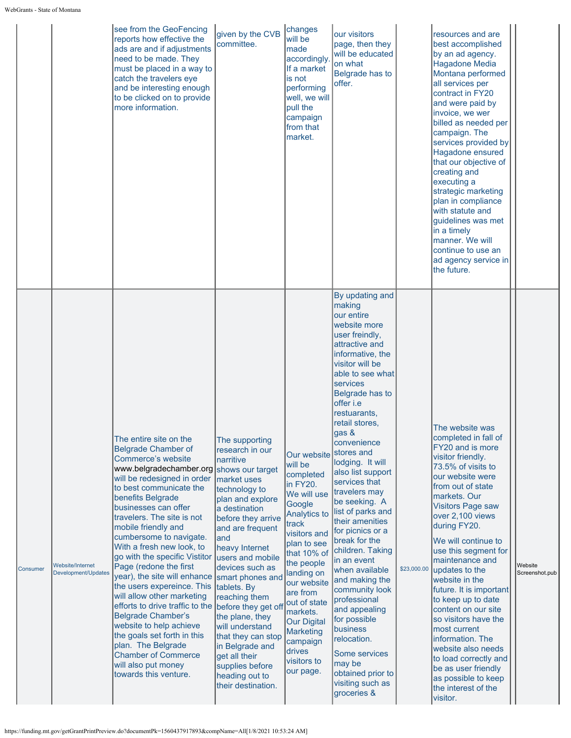|                 |                                         | see from the GeoFencing<br>reports how effective the<br>ads are and if adjustments<br>need to be made. They<br>must be placed in a way to<br>catch the travelers eye<br>and be interesting enough<br>to be clicked on to provide<br>more information.                                                                                                                                                                                                                                                                                                                                                                                                                                                                           | given by the CVB<br>committee.                                                                                                                                                                                                                                                                                                                                                                                                                                       | changes<br>will be<br>made<br>accordingly<br>If a market<br>is not<br>performing<br>well, we will<br>pull the<br>campaign<br>from that<br>market.                                                                                                                                                                              | our visitors<br>page, then they<br>will be educated<br>on what<br>Belgrade has to<br>offer.                                                                                                                                                                                                                                                                                                                                                                                                                                                                                                                                                                                                                        |             | resources and are<br>best accomplished<br>by an ad agency.<br><b>Hagadone Media</b><br>Montana performed<br>all services per<br>contract in FY20<br>and were paid by<br>invoice, we wer<br>billed as needed per<br>campaign. The<br>services provided by<br>Hagadone ensured<br>that our objective of<br>creating and<br>executing a<br>strategic marketing<br>plan in compliance<br>with statute and<br>guidelines was met<br>in a timely<br>manner. We will<br>continue to use an<br>ad agency service in<br>the future.                                                                                |                           |
|-----------------|-----------------------------------------|---------------------------------------------------------------------------------------------------------------------------------------------------------------------------------------------------------------------------------------------------------------------------------------------------------------------------------------------------------------------------------------------------------------------------------------------------------------------------------------------------------------------------------------------------------------------------------------------------------------------------------------------------------------------------------------------------------------------------------|----------------------------------------------------------------------------------------------------------------------------------------------------------------------------------------------------------------------------------------------------------------------------------------------------------------------------------------------------------------------------------------------------------------------------------------------------------------------|--------------------------------------------------------------------------------------------------------------------------------------------------------------------------------------------------------------------------------------------------------------------------------------------------------------------------------|--------------------------------------------------------------------------------------------------------------------------------------------------------------------------------------------------------------------------------------------------------------------------------------------------------------------------------------------------------------------------------------------------------------------------------------------------------------------------------------------------------------------------------------------------------------------------------------------------------------------------------------------------------------------------------------------------------------------|-------------|-----------------------------------------------------------------------------------------------------------------------------------------------------------------------------------------------------------------------------------------------------------------------------------------------------------------------------------------------------------------------------------------------------------------------------------------------------------------------------------------------------------------------------------------------------------------------------------------------------------|---------------------------|
| <b>Consumer</b> | Website/Internet<br>Development/Updates | The entire site on the<br><b>Belgrade Chamber of</b><br>Commerce's website<br>www.belgradechamber.org shows our target<br>will be redesigned in order<br>to best communicate the<br>benefits Belgrade<br>businesses can offer<br>travelers. The site is not<br>mobile friendly and<br>cumbersome to navigate.<br>With a fresh new look, to<br>go with the specific Vistitor<br>Page (redone the first<br>year), the site will enhance<br>the users expereince. This<br>will allow other marketing<br>efforts to drive traffic to the<br><b>Belgrade Chamber's</b><br>website to help achieve<br>the goals set forth in this<br>plan. The Belgrade<br><b>Chamber of Commerce</b><br>will also put money<br>towards this venture. | The supporting<br>research in our<br>narritive<br>market uses<br>technology to<br>plan and explore<br>a destination<br>before they arrive<br>and are frequent<br>land<br>heavy Internet<br>users and mobile<br>devices such as<br>smart phones and<br>tablets. By<br>reaching them<br>before they get off<br>the plane, they<br>will understand<br>that they can stop<br>in Belgrade and<br>get all their<br>supplies before<br>heading out to<br>their destination. | Our website<br>will be<br>completed<br>in FY20.<br>We will use<br>Google<br>Analytics to<br>track<br>visitors and<br>plan to see<br>that 10% of<br>the people<br>landing on<br>our website<br>are from<br>out of state<br>markets.<br><b>Our Digital</b><br><b>Marketing</b><br>campaign<br>drives<br>visitors to<br>our page. | By updating and<br>making<br>our entire<br>website more<br>user freindly,<br>attractive and<br>informative, the<br>visitor will be<br>able to see what<br>services<br>Belgrade has to<br>offer i.e<br>restuarants,<br>retail stores,<br>gas &<br>convenience<br>stores and<br>lodging. It will<br>also list support<br>services that<br>travelers may<br>be seeking. A<br>list of parks and<br>their amenities<br>for picnics or a<br>break for the<br>children. Taking<br>in an event<br>when available<br>and making the<br>community look<br>professional<br>and appealing<br>for possible<br>business<br>relocation.<br><b>Some services</b><br>may be<br>obtained prior to<br>visiting such as<br>groceries & | \$23,000.00 | The website was<br>completed in fall of<br>FY20 and is more<br>visitor friendly.<br>73.5% of visits to<br>our website were<br>from out of state<br>markets. Our<br><b>Visitors Page saw</b><br>over 2,100 views<br>during FY20.<br>We will continue to<br>use this segment for<br>maintenance and<br>updates to the<br>website in the<br>future. It is important<br>to keep up to date<br>content on our site<br>so visitors have the<br>most current<br>information. The<br>website also needs<br>to load correctly and<br>be as user friendly<br>as possible to keep<br>the interest of the<br>visitor. | Website<br>Screenshot.pub |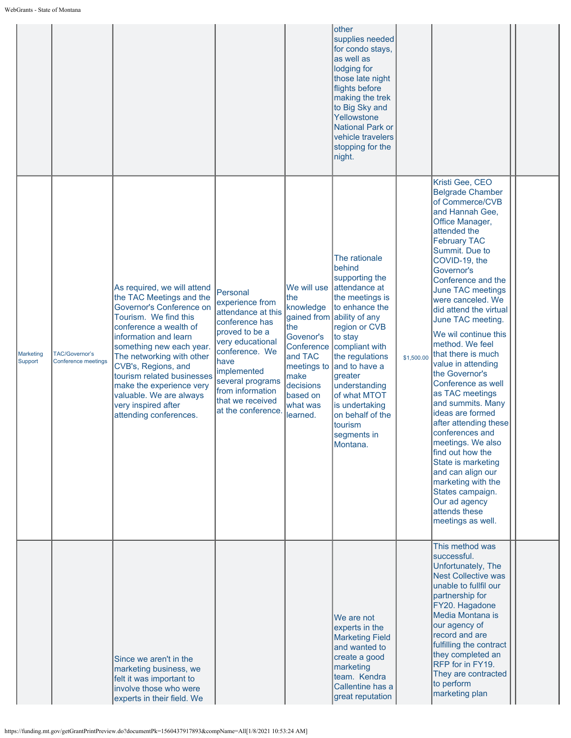|                             |                                                     |                                                                                                                                                                                                                                                                                                                                                                                       |                                                                                                                                                                                                                                      |                                                                                                                                                      | other<br>supplies needed<br>for condo stays,<br>as well as<br>lodging for<br>those late night<br>flights before<br>making the trek<br>to Big Sky and<br>Yellowstone<br><b>National Park or</b><br>vehicle travelers<br>stopping for the<br>night.                                                                                       |            |                                                                                                                                                                                                                                                                                                                                                                                                                                                                                                                                                                                                                                                                                                                                        |  |
|-----------------------------|-----------------------------------------------------|---------------------------------------------------------------------------------------------------------------------------------------------------------------------------------------------------------------------------------------------------------------------------------------------------------------------------------------------------------------------------------------|--------------------------------------------------------------------------------------------------------------------------------------------------------------------------------------------------------------------------------------|------------------------------------------------------------------------------------------------------------------------------------------------------|-----------------------------------------------------------------------------------------------------------------------------------------------------------------------------------------------------------------------------------------------------------------------------------------------------------------------------------------|------------|----------------------------------------------------------------------------------------------------------------------------------------------------------------------------------------------------------------------------------------------------------------------------------------------------------------------------------------------------------------------------------------------------------------------------------------------------------------------------------------------------------------------------------------------------------------------------------------------------------------------------------------------------------------------------------------------------------------------------------------|--|
| <b>Marketing</b><br>Support | <b>TAC/Governor's</b><br><b>Conference meetings</b> | As required, we will attend<br>the TAC Meetings and the<br>Governor's Conference on<br>Tourism. We find this<br>conference a wealth of<br>information and learn<br>something new each year.<br>The networking with other<br>CVB's, Regions, and<br>tourism related businesses<br>make the experience very<br>valuable. We are always<br>very inspired after<br>attending conferences. | Personal<br>experience from<br>attendance at this<br>conference has<br>proved to be a<br>very educational<br>conference. We<br>have<br>implemented<br>several programs<br>from information<br>that we received<br>at the conference. | We will use<br>the<br>knowledge<br>the<br>Govenor's<br>Conference<br>and TAC<br>meetings to<br>make<br>decisions<br>based on<br>what was<br>learned. | The rationale<br>behind<br>supporting the<br>attendance at<br>the meetings is<br>to enhance the<br>gained from ability of any<br>region or CVB<br>to stay<br>compliant with<br>the regulations<br>and to have a<br>greater<br>understanding<br>of what MTOT<br>is undertaking<br>on behalf of the<br>tourism<br>segments in<br>Montana. | \$1,500.00 | Kristi Gee, CEO<br><b>Belgrade Chamber</b><br>of Commerce/CVB<br>and Hannah Gee,<br>Office Manager,<br>attended the<br><b>February TAC</b><br>Summit. Due to<br>COVID-19, the<br>Governor's<br>Conference and the<br>June TAC meetings<br>were canceled. We<br>did attend the virtual<br>June TAC meeting.<br>We wil continue this<br>method. We feel<br>that there is much<br>value in attending<br>the Governor's<br>Conference as well<br>as TAC meetings<br>and summits. Many<br>ideas are formed<br>after attending these<br>conferences and<br>meetings. We also<br>find out how the<br>State is marketing<br>and can align our<br>marketing with the<br>States campaign.<br>Our ad agency<br>attends these<br>meetings as well. |  |
|                             |                                                     | Since we aren't in the<br>marketing business, we<br>felt it was important to<br>involve those who were<br>experts in their field. We                                                                                                                                                                                                                                                  |                                                                                                                                                                                                                                      |                                                                                                                                                      | We are not<br>experts in the<br><b>Marketing Field</b><br>and wanted to<br>create a good<br>marketing<br>team. Kendra<br>Callentine has a<br>great reputation                                                                                                                                                                           |            | This method was<br>successful.<br>Unfortunately, The<br><b>Nest Collective was</b><br>unable to fullfil our<br>partnership for<br>FY20. Hagadone<br>Media Montana is<br>our agency of<br>record and are<br>fulfilling the contract<br>they completed an<br>RFP for in FY19.<br>They are contracted<br>to perform<br>marketing plan                                                                                                                                                                                                                                                                                                                                                                                                     |  |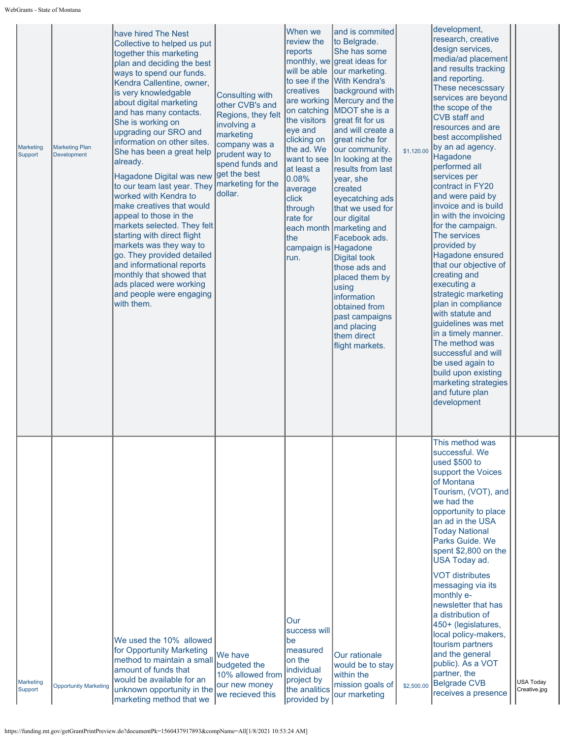| <b>Marketing</b><br>Support | <b>Marketing Plan</b><br><b>Development</b> | have hired The Nest<br>Collective to helped us put<br>together this marketing<br>plan and deciding the best<br>ways to spend our funds.<br>Kendra Callentine, owner,<br>is very knowledgable<br>about digital marketing<br>and has many contacts.<br>She is working on<br>upgrading our SRO and<br>information on other sites.<br>She has been a great help<br>already.<br>Hagadone Digital was new<br>to our team last year. They<br>worked with Kendra to<br>make creatives that would<br>appeal to those in the<br>markets selected. They felt<br>starting with direct flight<br>markets was they way to<br>go. They provided detailed<br>and informational reports<br>monthly that showed that<br>ads placed were working<br>and people were engaging<br>with them. | <b>Consulting with</b><br>other CVB's and<br>Regions, they felt<br>involving a<br>marketing<br>company was a<br>prudent way to<br>spend funds and<br>get the best<br>marketing for the<br>dollar. | When we<br>review the<br>reports<br>will be able<br>creatives<br>on catching<br>the visitors<br>eye and<br>clicking on<br>the ad. We<br>want to see<br>at least a<br>0.08%<br>average<br>click<br>through<br>rate for<br>each month<br>the<br>campaign is Hagadone<br>run. | and is commited<br>to Belgrade.<br>She has some<br>monthly, we great ideas for<br>our marketing.<br>to see if the With Kendra's<br>background with<br>are working Mercury and the<br>MDOT she is a<br>great fit for us<br>and will create a<br>great niche for<br>our community.<br>In looking at the<br>results from last<br>year, she<br>created<br>eyecatching ads<br>that we used for<br>our digital<br>marketing and<br>Facebook ads.<br><b>Digital took</b><br>those ads and<br>placed them by<br>using<br>information<br>obtained from<br>past campaigns<br>and placing<br>them direct<br>flight markets. | \$1,120.00 | development,<br>research, creative<br>design services,<br>media/ad placement<br>and results tracking<br>and reporting.<br>These necescssary<br>services are beyond<br>the scope of the<br><b>CVB</b> staff and<br>resources and are<br>best accomplished<br>by an ad agency.<br>Hagadone<br>performed all<br>services per<br>contract in FY20<br>and were paid by<br>invoice and is build<br>in with the invoicing<br>for the campaign.<br>The services<br>provided by<br>Hagadone ensured<br>that our objective of<br>creating and<br>executing a<br>strategic marketing<br>plan in compliance<br>with statute and<br>guidelines was met<br>in a timely manner.<br>The method was<br>successful and will<br>be used again to<br>build upon existing<br>marketing strategies<br>and future plan<br>development |                                  |
|-----------------------------|---------------------------------------------|-------------------------------------------------------------------------------------------------------------------------------------------------------------------------------------------------------------------------------------------------------------------------------------------------------------------------------------------------------------------------------------------------------------------------------------------------------------------------------------------------------------------------------------------------------------------------------------------------------------------------------------------------------------------------------------------------------------------------------------------------------------------------|---------------------------------------------------------------------------------------------------------------------------------------------------------------------------------------------------|----------------------------------------------------------------------------------------------------------------------------------------------------------------------------------------------------------------------------------------------------------------------------|------------------------------------------------------------------------------------------------------------------------------------------------------------------------------------------------------------------------------------------------------------------------------------------------------------------------------------------------------------------------------------------------------------------------------------------------------------------------------------------------------------------------------------------------------------------------------------------------------------------|------------|----------------------------------------------------------------------------------------------------------------------------------------------------------------------------------------------------------------------------------------------------------------------------------------------------------------------------------------------------------------------------------------------------------------------------------------------------------------------------------------------------------------------------------------------------------------------------------------------------------------------------------------------------------------------------------------------------------------------------------------------------------------------------------------------------------------|----------------------------------|
| <b>Marketing</b><br>Support | <b>Opportunity Marketing</b>                | We used the 10% allowed<br>for Opportunity Marketing<br>method to maintain a small<br>amount of funds that<br>would be available for an<br>unknown opportunity in the<br>marketing method that we                                                                                                                                                                                                                                                                                                                                                                                                                                                                                                                                                                       | We have<br>budgeted the<br>10% allowed from<br>our new money<br>we recieved this                                                                                                                  | Our<br>success will<br>be<br>measured<br>on the<br>individual<br>project by<br>the analitics<br>provided by                                                                                                                                                                | <b>Our rationale</b><br>would be to stay<br>within the<br>mission goals of<br>our marketing                                                                                                                                                                                                                                                                                                                                                                                                                                                                                                                      | \$2,500.00 | This method was<br>successful. We<br>used \$500 to<br>support the Voices<br>of Montana<br>Tourism, (VOT), and<br>we had the<br>opportunity to place<br>an ad in the USA<br><b>Today National</b><br>Parks Guide. We<br>spent \$2,800 on the<br>USA Today ad.<br><b>VOT distributes</b><br>messaging via its<br>monthly e-<br>newsletter that has<br>a distribution of<br>450+ (legislatures,<br>local policy-makers,<br>tourism partners<br>and the general<br>public). As a VOT<br>partner, the<br><b>Belgrade CVB</b><br>receives a presence                                                                                                                                                                                                                                                                 | <b>USA Today</b><br>Creative.jpg |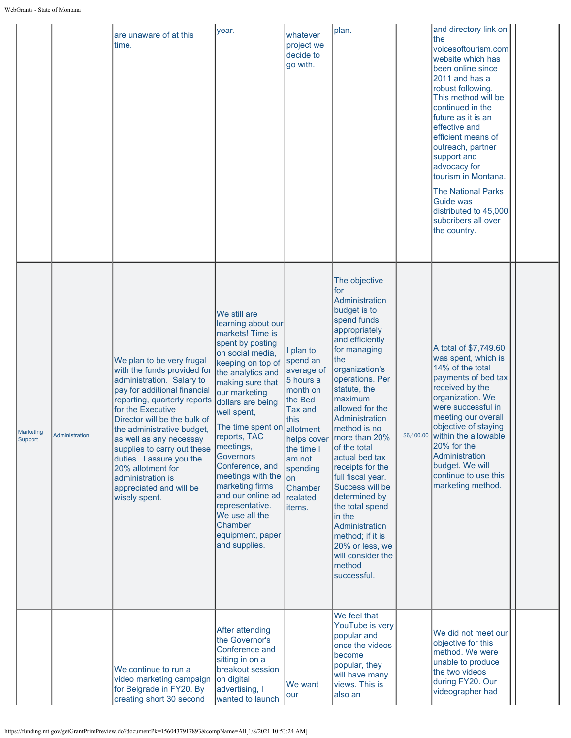|                      |                | are unaware of at this<br>time.                                                                                                                                                                                                                                                                                                                                                                                      | year.                                                                                                                                                                                                                                                                                                                                                                                                                                                        | whatever<br>project we<br>decide to<br>go with.                                                                                                                                           | plan.                                                                                                                                                                                                                                                                                                                                                                                                                                                                                                                                   | and directory link on<br>the<br>voicesoftourism.com<br>website which has<br>been online since<br>2011 and has a<br>robust following.<br>This method will be<br>continued in the<br>future as it is an<br>effective and<br>efficient means of<br>outreach, partner<br>support and<br>advocacy for<br>tourism in Montana.<br><b>The National Parks</b><br><b>Guide was</b><br>distributed to 45,000<br>subcribers all over<br>the country. |  |
|----------------------|----------------|----------------------------------------------------------------------------------------------------------------------------------------------------------------------------------------------------------------------------------------------------------------------------------------------------------------------------------------------------------------------------------------------------------------------|--------------------------------------------------------------------------------------------------------------------------------------------------------------------------------------------------------------------------------------------------------------------------------------------------------------------------------------------------------------------------------------------------------------------------------------------------------------|-------------------------------------------------------------------------------------------------------------------------------------------------------------------------------------------|-----------------------------------------------------------------------------------------------------------------------------------------------------------------------------------------------------------------------------------------------------------------------------------------------------------------------------------------------------------------------------------------------------------------------------------------------------------------------------------------------------------------------------------------|------------------------------------------------------------------------------------------------------------------------------------------------------------------------------------------------------------------------------------------------------------------------------------------------------------------------------------------------------------------------------------------------------------------------------------------|--|
| Marketing<br>Support | Administration | We plan to be very frugal<br>with the funds provided for<br>administration. Salary to<br>pay for additional financial<br>reporting, quarterly reports<br>for the Executive<br>Director will be the bulk of<br>the administrative budget,<br>as well as any necessay<br>supplies to carry out these<br>duties. I assure you the<br>20% allotment for<br>administration is<br>appreciated and will be<br>wisely spent. | We still are<br>learning about our<br>markets! Time is<br>spent by posting<br>on social media,<br>keeping on top of<br>the analytics and<br>making sure that<br>our marketing<br>dollars are being<br>well spent,<br>The time spent on<br>reports, TAC<br>meetings,<br><b>Governors</b><br>Conference, and<br>meetings with the<br>marketing firms<br>and our online ad<br>representative.<br>We use all the<br>Chamber<br>equipment, paper<br>and supplies. | I plan to<br>spend an<br>average of<br>5 hours a<br>month on<br>the Bed<br><b>Tax and</b><br>this<br>allotment<br>the time I<br>am not<br>spending<br>on<br>Chamber<br>realated<br>items. | The objective<br>for<br>Administration<br>budget is to<br>spend funds<br>appropriately<br>and efficiently<br>for managing<br>the<br>organization's<br>operations. Per<br>statute, the<br>maximum<br>allowed for the<br>Administration<br>method is no<br>helps cover   more than 20%<br>of the total<br>actual bed tax<br>receipts for the<br>full fiscal year.<br>Success will be<br>determined by<br>the total spend<br>in the<br>Administration<br>method; if it is<br>20% or less, we<br>will consider the<br>method<br>successful. | A total of \$7,749.60<br>was spent, which is<br>14% of the total<br>payments of bed tax<br>received by the<br>organization. We<br>were successful in<br>meeting our overall<br>objective of staying<br>\$6,400.00 within the allowable<br>20% for the<br>Administration<br>budget. We will<br>continue to use this<br>marketing method.                                                                                                  |  |
|                      |                | We continue to run a<br>video marketing campaign<br>for Belgrade in FY20. By<br>creating short 30 second                                                                                                                                                                                                                                                                                                             | After attending<br>the Governor's<br>Conference and<br>sitting in on a<br>breakout session<br>on digital<br>advertising, I<br>wanted to launch                                                                                                                                                                                                                                                                                                               | We want<br>our                                                                                                                                                                            | We feel that<br>YouTube is very<br>popular and<br>once the videos<br>become<br>popular, they<br>will have many<br>views. This is<br>also an                                                                                                                                                                                                                                                                                                                                                                                             | We did not meet our<br>objective for this<br>method. We were<br>unable to produce<br>the two videos<br>during FY20. Our<br>videographer had                                                                                                                                                                                                                                                                                              |  |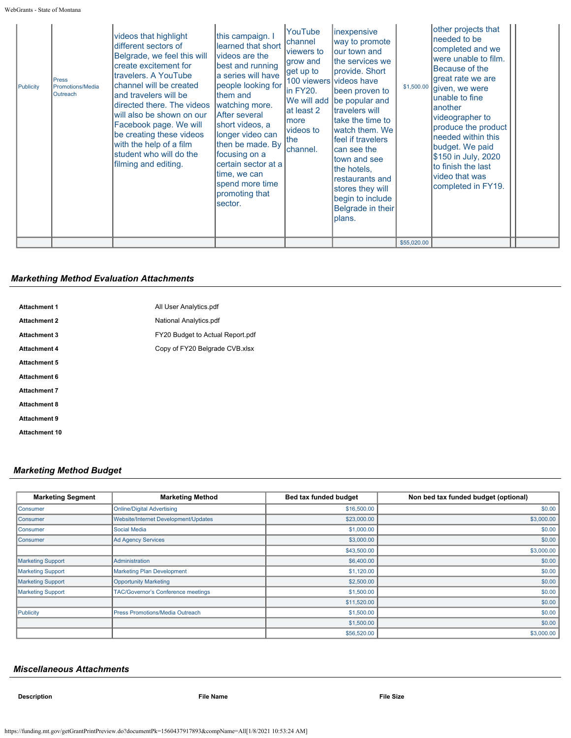|  | Publicity | <b>Press</b><br>Promotions/Media<br>Outreach | videos that highlight<br>different sectors of<br>Belgrade, we feel this will<br>create excitement for<br>travelers. A YouTube<br>channel will be created<br>and travelers will be<br>directed there. The videos<br>will also be shown on our<br>Facebook page. We will<br>be creating these videos<br>with the help of a film<br>student who will do the<br>filming and editing. | this campaign. I<br>learned that short<br>videos are the<br>best and running<br>a series will have<br>people looking for<br>them and<br>watching more.<br>IAfter several<br>short videos, a<br>longer video can<br>then be made. By<br>focusing on a<br>certain sector at a<br>time, we can<br>spend more time<br>promoting that<br>sector. | YouTube<br>channel<br>lviewers to<br>grow and<br>get up to<br>in FY20.<br>at least 2<br>Imore<br>videos to<br>lthe<br>channel. | <i>inexpensive</i><br>way to promote<br>lour town and<br>the services we<br>provide. Short<br>100 viewers videos have<br>been proven to<br>We will add be popular and<br>Itravelers will<br>Itake the time to<br>Iwatch them. We<br>lfeel if travelers<br>can see the<br>town and see<br>the hotels,<br>restaurants and<br>stores they will<br>begin to include<br>Belgrade in their<br>plans. | \$1,500.00<br>\$55,020.00 | other projects that<br>needed to be<br>completed and we<br>were unable to film.<br>Because of the<br>great rate we are<br>given, we were<br>unable to fine<br>another<br>videographer to<br>produce the product<br>needed within this<br>budget. We paid<br>\$150 in July, 2020<br>to finish the last<br>video that was<br>completed in FY19. |  |
|--|-----------|----------------------------------------------|----------------------------------------------------------------------------------------------------------------------------------------------------------------------------------------------------------------------------------------------------------------------------------------------------------------------------------------------------------------------------------|---------------------------------------------------------------------------------------------------------------------------------------------------------------------------------------------------------------------------------------------------------------------------------------------------------------------------------------------|--------------------------------------------------------------------------------------------------------------------------------|------------------------------------------------------------------------------------------------------------------------------------------------------------------------------------------------------------------------------------------------------------------------------------------------------------------------------------------------------------------------------------------------|---------------------------|-----------------------------------------------------------------------------------------------------------------------------------------------------------------------------------------------------------------------------------------------------------------------------------------------------------------------------------------------|--|
|--|-----------|----------------------------------------------|----------------------------------------------------------------------------------------------------------------------------------------------------------------------------------------------------------------------------------------------------------------------------------------------------------------------------------------------------------------------------------|---------------------------------------------------------------------------------------------------------------------------------------------------------------------------------------------------------------------------------------------------------------------------------------------------------------------------------------------|--------------------------------------------------------------------------------------------------------------------------------|------------------------------------------------------------------------------------------------------------------------------------------------------------------------------------------------------------------------------------------------------------------------------------------------------------------------------------------------------------------------------------------------|---------------------------|-----------------------------------------------------------------------------------------------------------------------------------------------------------------------------------------------------------------------------------------------------------------------------------------------------------------------------------------------|--|

## *Markething Method Evaluation Attachments*

| <b>Attachment 1</b>  | All User Analytics.pdf           |
|----------------------|----------------------------------|
| <b>Attachment 2</b>  | National Analytics.pdf           |
| <b>Attachment 3</b>  | FY20 Budget to Actual Report.pdf |
| <b>Attachment 4</b>  | Copy of FY20 Belgrade CVB.xlsx   |
| <b>Attachment 5</b>  |                                  |
| <b>Attachment 6</b>  |                                  |
| <b>Attachment 7</b>  |                                  |
| <b>Attachment 8</b>  |                                  |
| <b>Attachment 9</b>  |                                  |
| <b>Attachment 10</b> |                                  |
|                      |                                  |

# *Marketing Method Budget*

| <b>Marketing Segment</b> | <b>Marketing Method</b>              | Bed tax funded budget | Non bed tax funded budget (optional) |
|--------------------------|--------------------------------------|-----------------------|--------------------------------------|
| Consumer                 | <b>Online/Digital Advertising</b>    | \$16,500.00           | \$0.00                               |
| Consumer                 | Website/Internet Development/Updates | \$23,000.00           | \$3,000.00                           |
| Consumer                 | Social Media                         | \$1,000.00            | \$0.00                               |
| Consumer                 | Ad Agency Services                   | \$3,000.00            | \$0.00                               |
|                          |                                      | \$43,500.00           | \$3,000.00                           |
| <b>Marketing Support</b> | Administration                       | \$6,400.00            | \$0.00                               |
| <b>Marketing Support</b> | Marketing Plan Development           | \$1,120.00            | \$0.00                               |
| <b>Marketing Support</b> | <b>Opportunity Marketing</b>         | \$2,500.00            | \$0.00                               |
| <b>Marketing Support</b> | TAC/Governor's Conference meetings   | \$1,500.00            | \$0.00                               |
|                          |                                      | \$11,520.00           | \$0.00                               |
| Publicity                | Press Promotions/Media Outreach      | \$1,500.00            | \$0.00                               |
|                          |                                      | \$1,500.00            | \$0.00                               |
|                          |                                      | \$56,520.00           | \$3,000.00                           |

## *Miscellaneous Attachments*

**Description File Name File Size**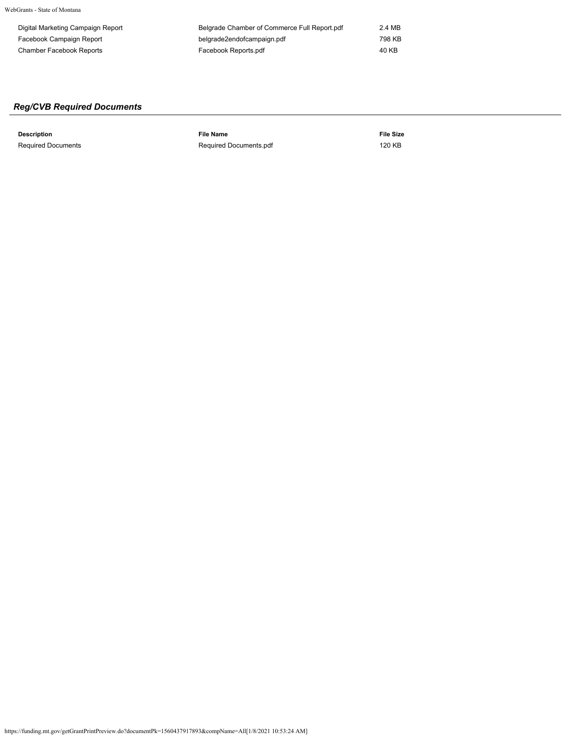WebGrants - State of Montana

| Digital Marketing Campaign Report | Belgrade Chamber of Commerce Full Report.pdf | 2.4 MB |
|-----------------------------------|----------------------------------------------|--------|
| Facebook Campaign Report          | belgrade2endofcampaign.pdf                   | 798 KB |
| Chamber Facebook Reports          | Facebook Reports.pdf                         | 40 KB  |

# *Reg/CVB Required Documents*

**Description File Name File Size** Required Documents **[Required Documents.pdf](https://funding.mt.gov/fileDownload.jsp?filename=1556810508220_Required+Documents.pdf)** 120 KB